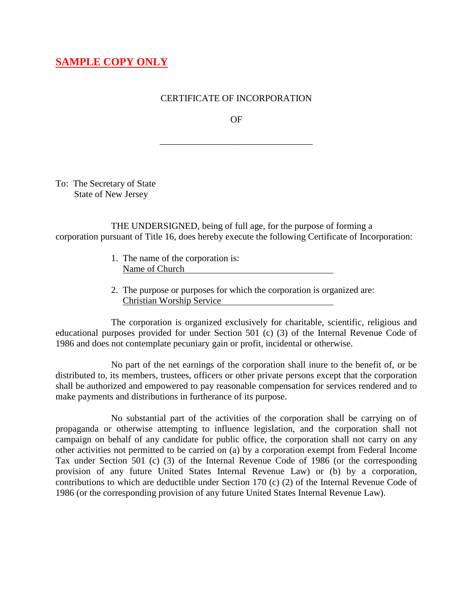## **SAMPLE COPY ONLY**

## CERTIFICATE OF INCORPORATION

OF

\_\_\_\_\_\_\_\_\_\_\_\_\_\_\_\_\_\_\_\_\_\_\_\_\_\_\_\_\_\_\_\_\_

To: The Secretary of State State of New Jersey

THE UNDERSIGNED, being of full age, for the purpose of forming a corporation pursuant of Title 16, does hereby execute the following Certificate of Incorporation:

- 1. The name of the corporation is: Name of Church
- 2. The purpose or purposes for which the corporation is organized are: Christian Worship Service

The corporation is organized exclusively for charitable, scientific, religious and educational purposes provided for under Section 501 (c) (3) of the Internal Revenue Code of 1986 and does not contemplate pecuniary gain or profit, incidental or otherwise.

No part of the net earnings of the corporation shall inure to the benefit of, or be distributed to, its members, trustees, officers or other private persons except that the corporation shall be authorized and empowered to pay reasonable compensation for services rendered and to make payments and distributions in furtherance of its purpose.

No substantial part of the activities of the corporation shall be carrying on of propaganda or otherwise attempting to influence legislation, and the corporation shall not campaign on behalf of any candidate for public office, the corporation shall not carry on any other activities not permitted to be carried on (a) by a corporation exempt from Federal Income Tax under Section 501 (c) (3) of the Internal Revenue Code of 1986 (or the corresponding provision of any future United States Internal Revenue Law) or (b) by a corporation, contributions to which are deductible under Section 170 (c) (2) of the Internal Revenue Code of 1986 (or the corresponding provision of any future United States Internal Revenue Law).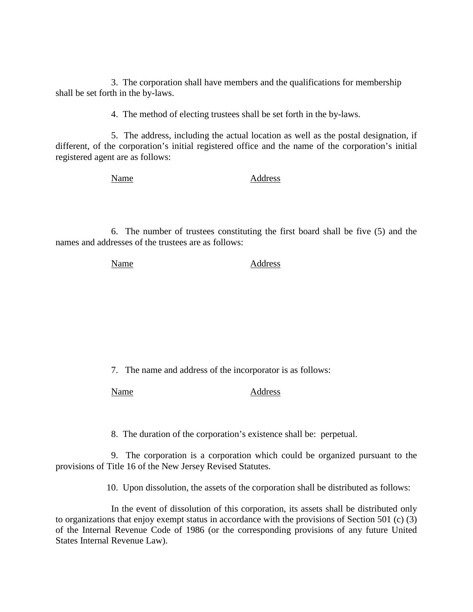3. The corporation shall have members and the qualifications for membership shall be set forth in the by-laws.

4. The method of electing trustees shall be set forth in the by-laws.

5. The address, including the actual location as well as the postal designation, if different, of the corporation's initial registered office and the name of the corporation's initial registered agent are as follows:

Name Address

6. The number of trustees constituting the first board shall be five (5) and the names and addresses of the trustees are as follows:

Name Address

7. The name and address of the incorporator is as follows:

Name Address

8. The duration of the corporation's existence shall be: perpetual.

9. The corporation is a corporation which could be organized pursuant to the provisions of Title 16 of the New Jersey Revised Statutes.

10. Upon dissolution, the assets of the corporation shall be distributed as follows:

In the event of dissolution of this corporation, its assets shall be distributed only to organizations that enjoy exempt status in accordance with the provisions of Section 501 (c) (3) of the Internal Revenue Code of 1986 (or the corresponding provisions of any future United States Internal Revenue Law).